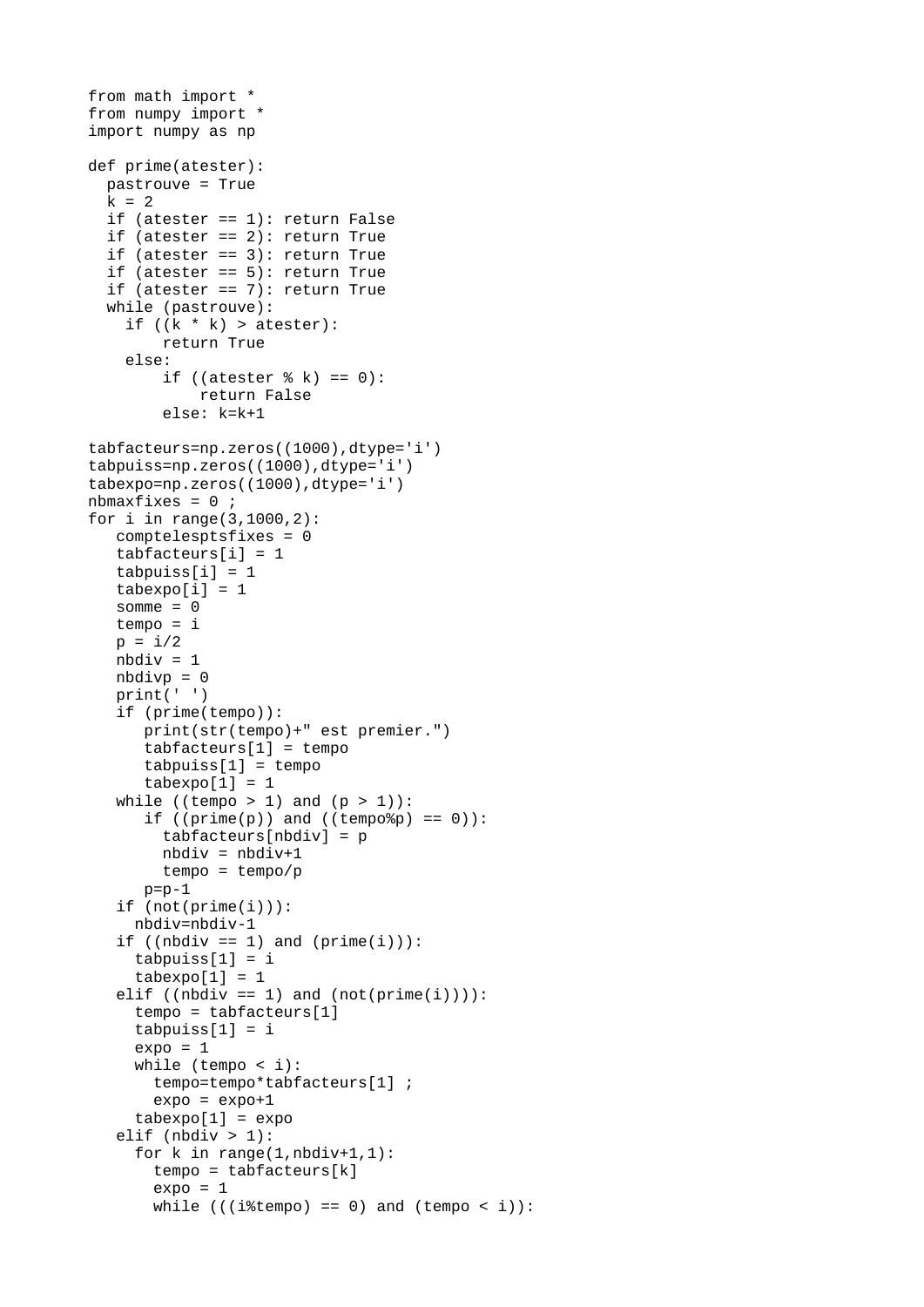```
from math import *
from numpy import * 
import numpy as np
def prime(atester):
 pastrouve = Truek = 2 if (atester == 1): return False
  if (atester == 2): return True
  if (\text{atester} == 3): return True
 if (atester == 5): return True
 if (atester == 7): return True
  while (pastrouve):
    if ((k * k) > \text{atester}):
         return True
     else:
        if ((atester % k) == 0):
             return False
         else: k=k+1
tabfacteurs=np.zeros((1000),dtype='i')
tabpuiss=np.zeros((1000),dtype='i')
tabexpo=np.zeros((1000),dtype='i')
nbmaxfixes = 0 ;
for i in range(3,1000,2):
    comptelesptsfixes = 0
   tabfacteurs[i] = 1tabpuiss[i] = 1tabexpo[i] = 1somme = 0 tempo = i
  p = i/2nbdiv = 1nbdivp = 0 print(' ')
    if (prime(tempo)):
       print(str(tempo)+" est premier.")
      tabfacteurs[1] = tempotabpuiss[1] = tempotabexpo[1] = 1while ((tempo > 1) and (p > 1)):
      if ((prime(p)) and ((tempo\%p) == 0)):
        tabfacteurs[nbdiv] = pnbdiv = nbdiv+1 tempo = tempo/p
      p=p-1 if (not(prime(i))):
      nbdiv=nbdiv-1
   if ((nbdiv == 1) and (prime(i))):
     tabpuiss[1] = itabexpo[1] = 1elif ((nbdiv == 1) and (not(prime(i)))):
     tempo = tabfactors[1]tabpuiss[1] = iexpo = 1 while (tempo < i):
        tempo=tempo*tabfacteurs[1] ;
       expo = expo+1tabexpo[1] = expoelif (nbdiv > 1):
     for k in range(1, nbdiv+1, 1):
       tempo = tabfactors[k]expo = 1while (((i\%tempo) == 0) and tempo < i):
```